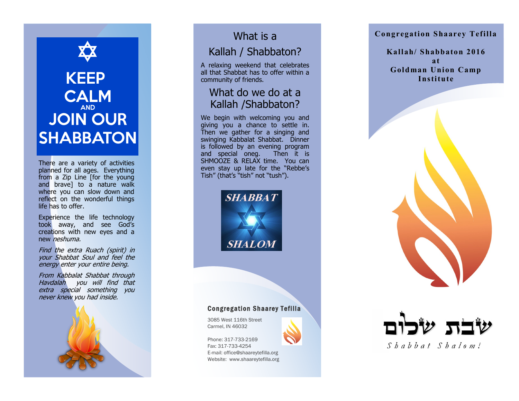# **KEEP CALM AND JOIN OUR SHABBATON**

There are a variety of activities planned for all ages. Everything from a Zip Line [for the young and brave] to a nature walk where you can slow down and reflect on the wonderful things life has to offer.

Experience the life technology took away, and see God's creations with new eyes and a new neshuma.

Find the extra Ruach (spirit) in your Shabbat Soul and feel the energy enter your entire being.

From Kabbalat Shabbat through Havdalah you will find that extra special something you never knew you had inside.



## What is a

### Kallah / Shabbaton?

A relaxing weekend that celebrates all that Shabbat has to offer within a community of friends.

#### What do we do at a Kallah /Shabbaton?

We begin with welcoming you and giving you a chance to settle in. Then we gather for a singing and swinging Kabbalat Shabbat. Dinner is followed by an evening program and special oneg. Then it is SHMOOZE & RELAX time. You can even stay up late for the "Rebbe's Tish" (that's "tish" not "tush").



#### **Congregation Shaarey Tefilla**

**Kallah/ Shabbaton 2016 at Goldman Union Camp Institute**



#### Congregation Shaarey Tefilla

3085 West 116th Street Carmel, IN 46032

Phone: 317 -733 -2169 Fax: 317 -733 -4254 E -mail: office@shaareytefilla.org Website: www.shaareytefilla.org